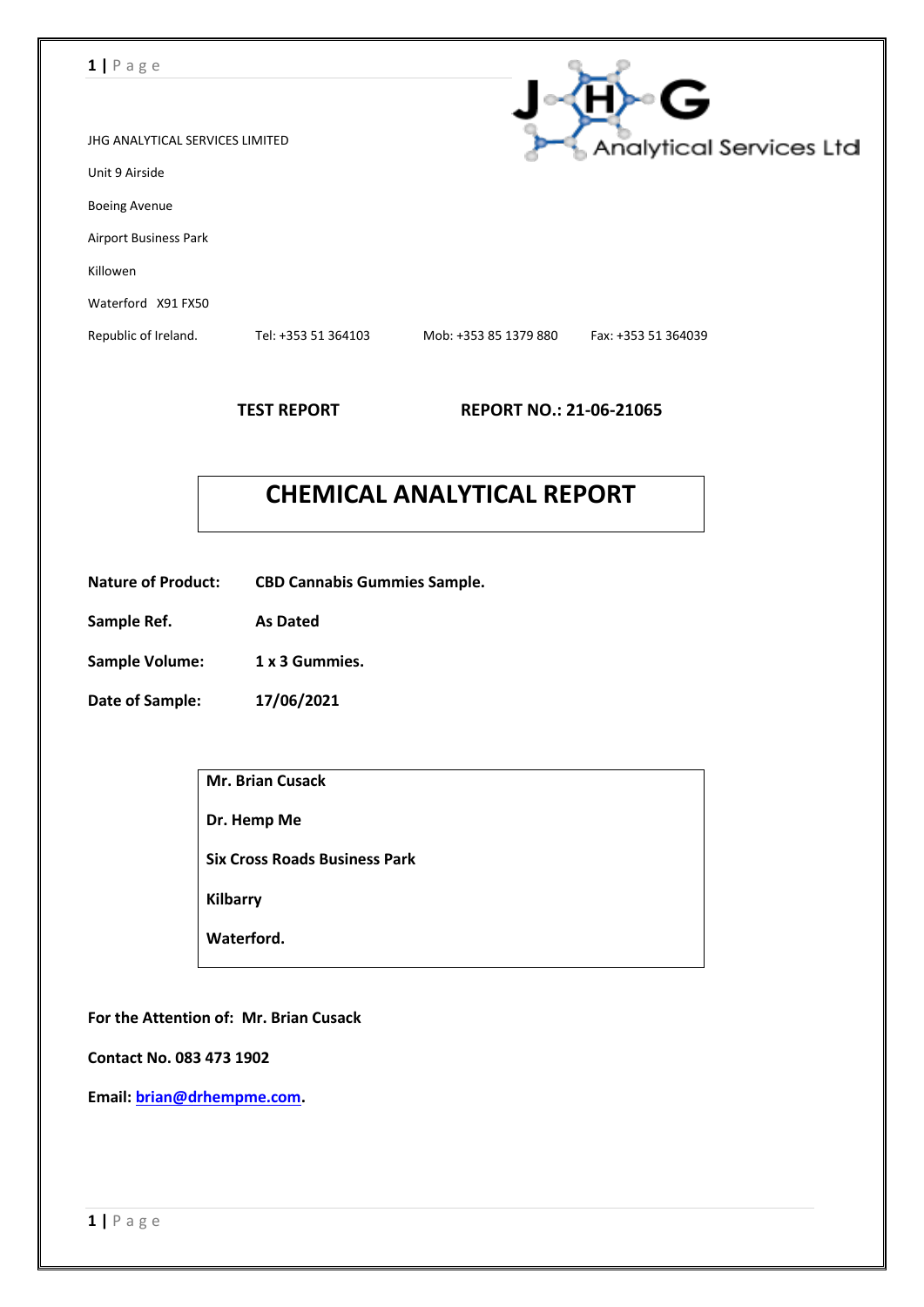### **1 |** P a g e

|                                 |                     |                       | خا                      |
|---------------------------------|---------------------|-----------------------|-------------------------|
| JHG ANALYTICAL SERVICES LIMITED |                     |                       | Analytical Services Ltd |
| Unit 9 Airside                  |                     |                       |                         |
| <b>Boeing Avenue</b>            |                     |                       |                         |
| <b>Airport Business Park</b>    |                     |                       |                         |
| Killowen                        |                     |                       |                         |
| Waterford X91 FX50              |                     |                       |                         |
| Republic of Ireland.            | Tel: +353 51 364103 | Mob: +353 85 1379 880 | Fax: +353 51 364039     |
|                                 |                     |                       |                         |

**TEST REPORT REPORT NO.: 21-06-21065**

 $\sim$ 

# **CHEMICAL ANALYTICAL REPORT**

- **Nature of Product: CBD Cannabis Gummies Sample.**
- **Sample Ref. As Dated**
- Sample Volume: 1 x 3 Gummies.
- **Date of Sample: 17/06/2021**

| <b>Mr. Brian Cusack</b>              |
|--------------------------------------|
| Dr. Hemp Me                          |
| <b>Six Cross Roads Business Park</b> |
| <b>Kilbarry</b>                      |
| Waterford.                           |
|                                      |

**For the Attention of: Mr. Brian Cusack**

**Contact No. 083 473 1902**

**Email: [brian@drhempme.com.](mailto:brian@drhempme.com)**